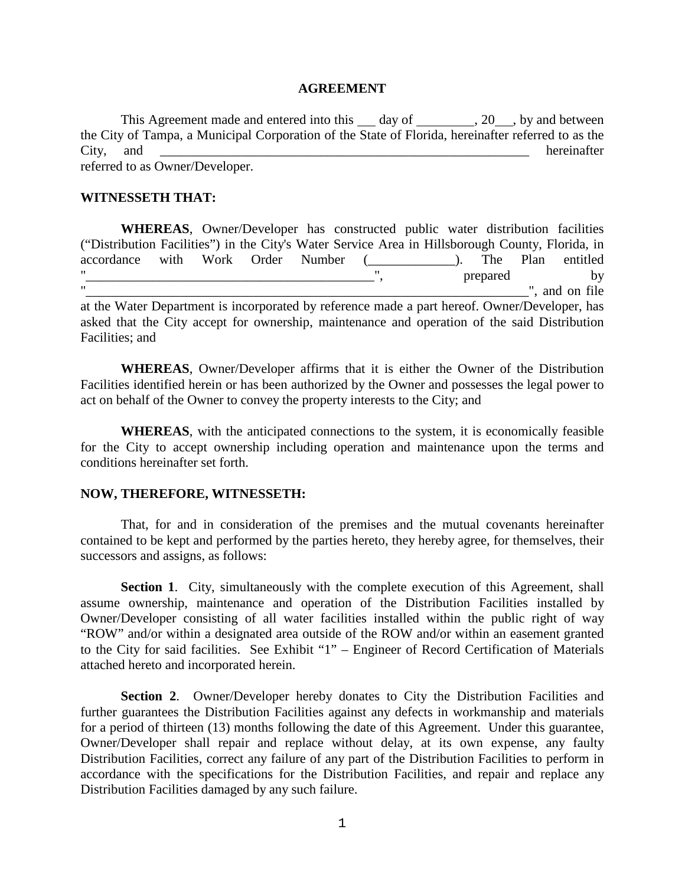#### **AGREEMENT**

This Agreement made and entered into this day of  $\,$ , 20, by and between the City of Tampa, a Municipal Corporation of the State of Florida, hereinafter referred to as the City, and the contract of the contract of the contract of the contract of the contract of the contract of the contract of the contract of the contract of the contract of the contract of the contract of the contract of the referred to as Owner/Developer.

#### **WITNESSETH THAT:**

**WHEREAS**, Owner/Developer has constructed public water distribution facilities ("Distribution Facilities") in the City's Water Service Area in Hillsborough County, Florida, in accordance with Work Order Number (  $\qquad$  ). The Plan entitled "\_\_\_\_\_\_\_\_\_\_\_\_\_\_\_\_\_\_\_\_\_\_\_\_\_\_\_\_\_\_\_\_\_\_\_\_\_\_\_\_\_\_\_", prepared by  $\overline{r}$  and on file  $\overline{r}$  and on file at the Water Department is incorporated by reference made a part hereof. Owner/Developer, has asked that the City accept for ownership, maintenance and operation of the said Distribution Facilities; and

**WHEREAS**, Owner/Developer affirms that it is either the Owner of the Distribution Facilities identified herein or has been authorized by the Owner and possesses the legal power to act on behalf of the Owner to convey the property interests to the City; and

**WHEREAS**, with the anticipated connections to the system, it is economically feasible for the City to accept ownership including operation and maintenance upon the terms and conditions hereinafter set forth.

### **NOW, THEREFORE, WITNESSETH:**

That, for and in consideration of the premises and the mutual covenants hereinafter contained to be kept and performed by the parties hereto, they hereby agree, for themselves, their successors and assigns, as follows:

**Section 1.** City, simultaneously with the complete execution of this Agreement, shall assume ownership, maintenance and operation of the Distribution Facilities installed by Owner/Developer consisting of all water facilities installed within the public right of way "ROW" and/or within a designated area outside of the ROW and/or within an easement granted to the City for said facilities. See Exhibit "1" – Engineer of Record Certification of Materials attached hereto and incorporated herein.

**Section 2**. Owner/Developer hereby donates to City the Distribution Facilities and further guarantees the Distribution Facilities against any defects in workmanship and materials for a period of thirteen (13) months following the date of this Agreement. Under this guarantee, Owner/Developer shall repair and replace without delay, at its own expense, any faulty Distribution Facilities, correct any failure of any part of the Distribution Facilities to perform in accordance with the specifications for the Distribution Facilities, and repair and replace any Distribution Facilities damaged by any such failure.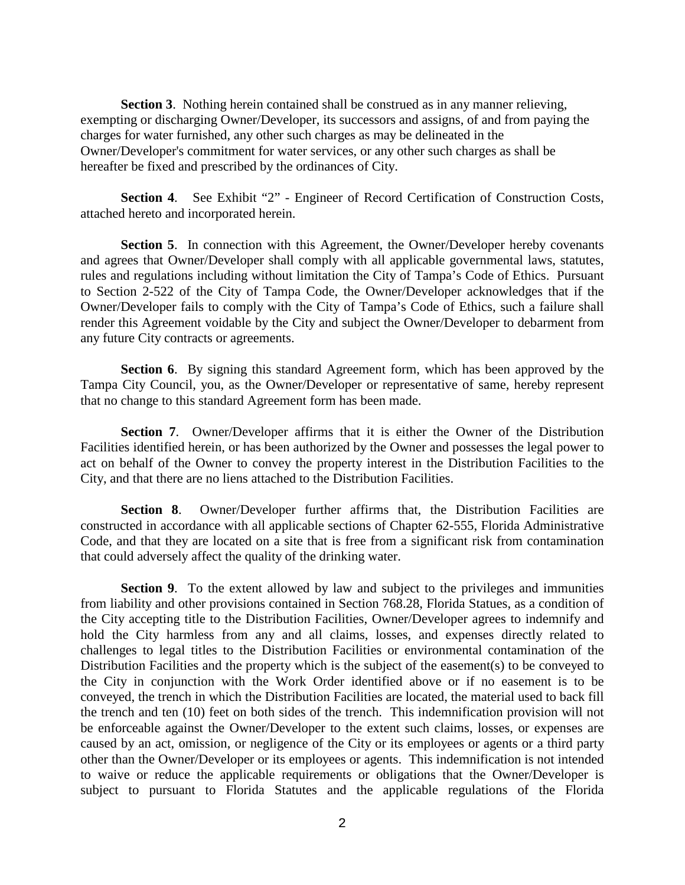**Section 3**. Nothing herein contained shall be construed as in any manner relieving, exempting or discharging Owner/Developer, its successors and assigns, of and from paying the charges for water furnished, any other such charges as may be delineated in the Owner/Developer's commitment for water services, or any other such charges as shall be hereafter be fixed and prescribed by the ordinances of City.

**Section 4**. See Exhibit "2" - Engineer of Record Certification of Construction Costs, attached hereto and incorporated herein.

**Section 5.** In connection with this Agreement, the Owner/Developer hereby covenants and agrees that Owner/Developer shall comply with all applicable governmental laws, statutes, rules and regulations including without limitation the City of Tampa's Code of Ethics. Pursuant to Section 2-522 of the City of Tampa Code, the Owner/Developer acknowledges that if the Owner/Developer fails to comply with the City of Tampa's Code of Ethics, such a failure shall render this Agreement voidable by the City and subject the Owner/Developer to debarment from any future City contracts or agreements.

**Section 6**. By signing this standard Agreement form, which has been approved by the Tampa City Council, you, as the Owner/Developer or representative of same, hereby represent that no change to this standard Agreement form has been made.

**Section 7**. Owner/Developer affirms that it is either the Owner of the Distribution Facilities identified herein, or has been authorized by the Owner and possesses the legal power to act on behalf of the Owner to convey the property interest in the Distribution Facilities to the City, and that there are no liens attached to the Distribution Facilities.

**Section 8.** Owner/Developer further affirms that, the Distribution Facilities are constructed in accordance with all applicable sections of Chapter 62-555, Florida Administrative Code, and that they are located on a site that is free from a significant risk from contamination that could adversely affect the quality of the drinking water.

**Section 9.** To the extent allowed by law and subject to the privileges and immunities from liability and other provisions contained in Section 768.28, Florida Statues, as a condition of the City accepting title to the Distribution Facilities, Owner/Developer agrees to indemnify and hold the City harmless from any and all claims, losses, and expenses directly related to challenges to legal titles to the Distribution Facilities or environmental contamination of the Distribution Facilities and the property which is the subject of the easement(s) to be conveyed to the City in conjunction with the Work Order identified above or if no easement is to be conveyed, the trench in which the Distribution Facilities are located, the material used to back fill the trench and ten (10) feet on both sides of the trench. This indemnification provision will not be enforceable against the Owner/Developer to the extent such claims, losses, or expenses are caused by an act, omission, or negligence of the City or its employees or agents or a third party other than the Owner/Developer or its employees or agents. This indemnification is not intended to waive or reduce the applicable requirements or obligations that the Owner/Developer is subject to pursuant to Florida Statutes and the applicable regulations of the Florida